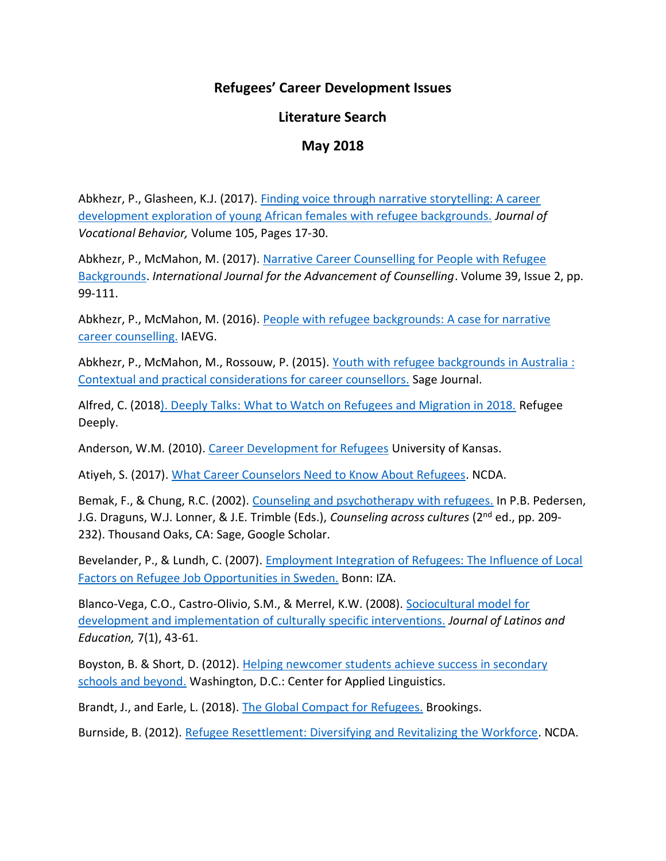## **Refugees' Career Development Issues**

## **Literature Search**

## **May 2018**

Abkhezr, P., Glasheen, K.J. (2017). [Finding voice through narrative storytelling: A career](https://www.sciencedirect.com/science/article/abs/pii/S0001879117301148)  [development exploration of young African females with refugee backgrounds.](https://www.sciencedirect.com/science/article/abs/pii/S0001879117301148) *Journal of Vocational Behavior,* Volume 105, Pages 17-30.

Abkhezr, P., McMahon, M. (2017). Narrative Career Counselling for People with Refugee [Backgrounds.](https://link.springer.com/article/10.1007%2Fs10447-017-9285-z) *International Journal for the Advancement of Counselling*. Volume 39, Issue 2, pp. 99-111.

Abkhezr, P., McMahon, M. (2016). [People with refugee backgrounds: A case for narrative](https://www.researchgate.net/publication/304272251_People_with_refugee_backgrounds_A_case_for_narrative_career_counselling)  [career counselling.](https://www.researchgate.net/publication/304272251_People_with_refugee_backgrounds_A_case_for_narrative_career_counselling) IAEVG.

Abkhezr, P., McMahon, M., Rossouw, P. (2015). [Youth with refugee backgrounds in Australia](http://journals.sagepub.com/doi/10.1177/1038416215584406) : [Contextual and practical considerations for career counsellors.](http://journals.sagepub.com/doi/10.1177/1038416215584406) Sage Journal.

Alfred, C. (201[8\). Deeply Talks: What to Watch on Refugees and Migration in 2018.](https://www.newsdeeply.com/refugees/articles/2018/02/01/passports-for-sale-how-sudan-profits-from-syrians) Refugee Deeply.

Anderson, W.M. (2010). [Career Development for Refugees](http://www.people.ku.edu/~tkrieshok/epsy954/posters/anderson.pdf) University of Kansas.

Atiyeh, S. (2017). [What Career Counselors Need to Know About Refugees.](https://aws4production.associationdatabase.com/aws/NCDA/pt/sd/news_article/135145/_PARENT/CC_layout_details/false) NCDA.

Bemak, F., & Chung, R.C. (2002). [Counseling and psychotherapy with refugees.](https://www.amazon.com/Counselling-Psychotherapy-Refugees-Dick-Blackwell/dp/1843103168) In P.B. Pedersen, J.G. Draguns, W.J. Lonner, & J.E. Trimble (Eds.), *Counseling across cultures* (2nd ed., pp. 209- 232). Thousand Oaks, CA: Sage, Google Scholar.

Bevelander, P., & Lundh, C. (2007). [Employment Integration of Refugees: The Influence of Local](http://ftp.iza.org/dp2551.pdf) [Factors on Refugee Job Opportunities in Sweden.](http://ftp.iza.org/dp2551.pdf) Bonn: IZA.

Blanco-Vega, C.O., Castro-Olivio, S.M., & Merrel, K.W. (2008). [Sociocultural model for](https://www.researchgate.net/publication/233118250_Social-Emotional_Needs_of_Latino_Immigrant_Adolescents_A_Sociocultural_Model_for_Development_and_Implementation_of_Culturally_Specific_Interventions)  [development and implementation of culturally specific interventions.](https://www.researchgate.net/publication/233118250_Social-Emotional_Needs_of_Latino_Immigrant_Adolescents_A_Sociocultural_Model_for_Development_and_Implementation_of_Culturally_Specific_Interventions) *Journal of Latinos and Education,* 7(1), 43-61.

Boyston, B. & Short, D. (2012). [Helping newcomer students achieve success in secondary](https://www.carnegie.org/media/filer_public/ff/fd/fffda48e-4211-44c5-b4ef-86e8b50929d6/ccny_report_2012_helping.pdf)  [schools and beyond.](https://www.carnegie.org/media/filer_public/ff/fd/fffda48e-4211-44c5-b4ef-86e8b50929d6/ccny_report_2012_helping.pdf) Washington, D.C.: Center for Applied Linguistics.

Brandt, J., and Earle, L. (2018). [The Global Compact for Refugees.](https://www.brookings.edu/research/the-global-compact-for-refugees/) Brookings.

Burnside, B. (2012). [Refugee Resettlement: Diversifying and Revitalizing the Workforce.](https://aws4production.associationdatabase.com/aws/NCDA/pt/sd/news_article/67239/_PARENT/CC_layout_details/false) NCDA.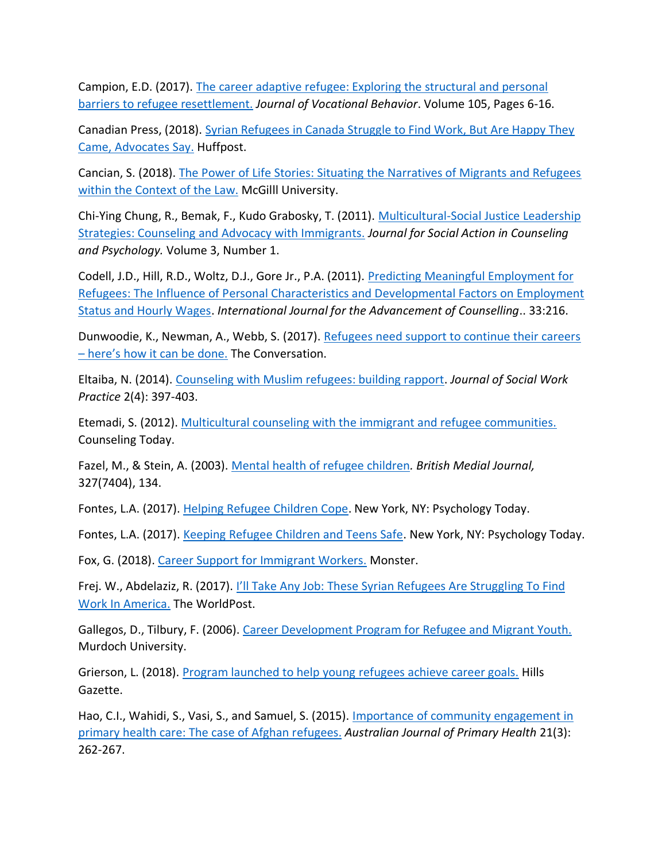Campion, E.D. (2017). [The career adaptive refugee: Exploring the structural and personal](https://www.sciencedirect.com/science/article/abs/pii/S000187911730132X)  [barriers to refugee resettlement.](https://www.sciencedirect.com/science/article/abs/pii/S000187911730132X) *Journal of Vocational Behavior*. Volume 105, Pages 6-16.

Canadian Press, (2018). [Syrian Refugees in Canada Struggle to Find Work, But Are Happy They](https://www.huffingtonpost.ca/2018/05/03/syrian-refugees-canada_a_23426295/)  [Came, Advocates Say.](https://www.huffingtonpost.ca/2018/05/03/syrian-refugees-canada_a_23426295/) Huffpost.

Cancian, S. (2018). [The Power of Life Stories: Situating the Narratives of Migrants and Refugees](https://www.mcgill.ca/law/channels/event/power-life-stories-situating-narratives-migrants-and-refugees-within-context-law-267179)  [within the Context of the Law.](https://www.mcgill.ca/law/channels/event/power-life-stories-situating-narratives-migrants-and-refugees-within-context-law-267179) McGilll University.

Chi-Ying Chung, R., Bemak, F., Kudo Grabosky, T. (2011). [Multicultural-Social Justice Leadership](http://www.psysr.org/jsacp/chung-v3n1-11_86-102.pdf)  [Strategies: Counseling and Advocacy with Immigrants.](http://www.psysr.org/jsacp/chung-v3n1-11_86-102.pdf) *Journal for Social Action in Counseling and Psychology.* Volume 3, Number 1.

Codell, J.D., Hill, R.D., Woltz, D.J., Gore Jr., P.A. (2011). [Predicting Meaningful Employment for](https://link.springer.com/article/10.1007/s10447-011-9125-5)  [Refugees: The Influence of Personal Characteristics and Developmental Factors on Employment](https://link.springer.com/article/10.1007/s10447-011-9125-5)  [Status and Hourly Wages.](https://link.springer.com/article/10.1007/s10447-011-9125-5) *International Journal for the Advancement of Counselling*.. 33:216.

Dunwoodie, K., Newman, A., Webb, S. (2017). Refugees need support to continue their careers – [here's how it can be done.](https://theconversation.com/refugees-need-support-to-continue-their-careers-heres-how-it-can-be-done-76151) The Conversation.

Eltaiba, N. (2014). [Counseling with Muslim refugees: building rapport.](https://www.tandfonline.com/doi/abs/10.1080/02650533.2013.875523?journalCode=cjsw20) *Journal of Social Work Practice* 2(4): 397-403.

Etemadi, S. (2012). [Multicultural counseling with the immigrant and refugee communities.](https://ct.counseling.org/2013/12/multicultural-counseling-with-the-immigrant-and-refugee-communities/) Counseling Today.

Fazel, M., & Stein, A. (2003). [Mental health of refugee children](https://www.bmj.com/content/327/7407/134)*. British Medial Journal,* 327(7404), 134.

Fontes, L.A. (2017). [Helping Refugee Children Cope.](https://www.psychologytoday.com/us/blog/invisible-chains/201706/helping-refugee-children-cope) New York, NY: Psychology Today.

Fontes, L.A. (2017). [Keeping Refugee Children and Teens Safe.](https://www.psychologytoday.com/us/blog/invisible-chains/201708/keeping-refugee-children-and-teens-safe) New York, NY: Psychology Today.

Fox, G. (2018). [Career Support for Immigrant Workers.](https://www.monster.com/career-advice/article/Career-Support-for-Immigrant-Workers) Monster.

Frej. W., Abdelaziz, R. (2017). [I'll Take Any Job: These Syrian Refugees Are Struggl](https://www.huffingtonpost.ca/entry/syrian-refugees-find-work_us_589378f4e4b05c775abe717c)ing To Find [Work In America.](https://www.huffingtonpost.ca/entry/syrian-refugees-find-work_us_589378f4e4b05c775abe717c) The WorldPost.

Gallegos, D., Tilbury, F. (2006). Career [Development Program for Refugee and Migrant Youth.](http://researchrepository.murdoch.edu.au/id/eprint/10927/1/careerguidance.pdf) Murdoch University.

Grierson, L. (2018). [Program launched to help young refugees achieve career goals.](https://www.communitynews.com.au/hills-gazette/news/program-launched-to-help-young-refugees-achieve-career-goals/) Hills Gazette.

Hao, C.I., Wahidi, S., Vasi, S., and Samuel, S. (2015). [Importance of community engagement in](https://onlinelibrary.wiley.com/doi/abs/10.1111/imig.12099)  [primary health care: The case of Afghan refugees.](https://onlinelibrary.wiley.com/doi/abs/10.1111/imig.12099) *Australian Journal of Primary Health* 21(3): 262-267.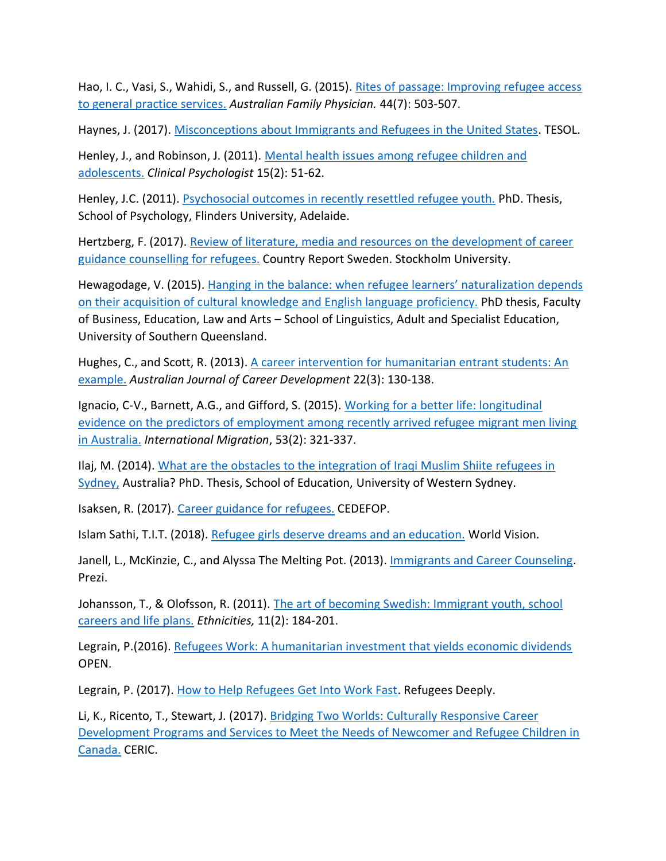Hao, I. C., Vasi, S., Wahidi, S., and Russell, G. (2015). [Rites of passage: Improving refugee access](https://www.racgp.org.au/afp/2015/july/rites-of-passage-improving-refugee-access-to-general-practice-services/)  [to general practice services.](https://www.racgp.org.au/afp/2015/july/rites-of-passage-improving-refugee-access-to-general-practice-services/) *Australian Family Physician.* 44(7): 503-507.

Haynes, J. (2017). [Misconceptions about Immigrants and Refugees in the United States.](http://blog.tesol.org/misconceptions-about-immigrants-and-refugees-in-the-united-states/) TESOL.

Henley, J., and Robinson, J. (2011). [Mental health issues among refugee children and](https://numerons.files.wordpress.com/2012/04/41-mental-health-issues-among-refugee-children.pdf)  [adolescents.](https://numerons.files.wordpress.com/2012/04/41-mental-health-issues-among-refugee-children.pdf) *Clinical Psychologist* 15(2): 51-62.

Henley, J.C. (2011). [Psychosocial outcomes in recently resettled refugee youth.](http://www.flinders.edu.au/sabs/psychology/our-people/students/completions.cfm) PhD. Thesis, School of Psychology, Flinders University, Adelaide.

Hertzberg, F. (2017). Review of literature, media and resources on the development of career [guidance counselling for refugees.](https://www.cminar.eu/upload/files/CMinaR-O1-Report-final(1).pdf) Country Report Sweden. Stockholm University.

Hewagodage, V. (2015). [Hanging in the balance: when refugee learners' naturalization depends](https://eprints.usq.edu.au/27724/)  [on their acquisition of cultural knowledge and English language proficiency.](https://eprints.usq.edu.au/27724/) PhD thesis, Faculty of Business, Education, Law and Arts – School of Linguistics, Adult and Specialist Education, University of Southern Queensland.

Hughes, C., and Scott, R. (2013). [A career intervention for humanitarian entrant students: An](http://journals.sagepub.com/doi/abs/10.1177/1038416213502170)  [example.](http://journals.sagepub.com/doi/abs/10.1177/1038416213502170) *Australian Journal of Career Development* 22(3): 130-138.

Ignacio, C-V., Barnett, A.G., and Gifford, S. (2015). [Working for a better life: longitudinal](https://onlinelibrary.wiley.com/doi/abs/10.1111/j.1742-9552.2011.00024.x)  [evidence on the predictors of employment among recently arrived refugee migrant men living](https://onlinelibrary.wiley.com/doi/abs/10.1111/j.1742-9552.2011.00024.x)  [in Australia.](https://onlinelibrary.wiley.com/doi/abs/10.1111/j.1742-9552.2011.00024.x) *International Migration*, 53(2): 321-337.

Ilaj, M. (2014). [What are the obstacles to the integration of Iraqi Muslim Shiite refugees in](http://researchdirect.westernsydney.edu.au/islandora/object/uws:29757)  [Sydney,](http://researchdirect.westernsydney.edu.au/islandora/object/uws:29757) Australia? PhD. Thesis, School of Education, University of Western Sydney.

Isaksen, R. (2017). [Career guidance for refugees.](http://www.cedefop.europa.eu/en/news-and-press/news/norway-career-guidance-refugees) CEDEFOP.

Islam Sathi, T.I.T. (2018). [Refugee girls deserve dreams and an education.](https://www.wvi.org/article/refugee-girls-deserve-dreams-and-education) World Vision.

Janell, L., McKinzie, C., and Alyssa The Melting Pot. (2013). *Immigrants and Career Counseling*. Prezi.

Johansson, T., & Olofsson, R. (2011). The art of becoming Swedish: Immigrant youth, school [careers and life plans.](http://journals.sagepub.com/doi/abs/10.1177/1468796811398827) *Ethnicities,* 11(2): 184-201.

Legrain, P.(2016). [Refugees Work: A humanitarian investment that yields economic dividends](http://www.opennetwork.net/refugeeswork/) OPEN.

Legrain, P. (2017). [How to Help Refugees Get Into Work Fast.](https://www.newsdeeply.com/refugees/community/2017/09/19/how-to-help-refugees-get-into-work-fast) Refugees Deeply.

Li, K., Ricento, T., Stewart, J. (2017). [Bridging Two Worlds: Culturally Responsive Career](https://www.researchgate.net/project/Bridging-Two-Worlds-Culturally-Responsive-Career-Development-Programs-and-Services-to-Meet-the-Needs-of-Newcomer-and-Refugee-Children-in-Canada)  [Development Programs and Services to Meet the Needs of Newcomer and Refugee Children in](https://www.researchgate.net/project/Bridging-Two-Worlds-Culturally-Responsive-Career-Development-Programs-and-Services-to-Meet-the-Needs-of-Newcomer-and-Refugee-Children-in-Canada)  [Canada.](https://www.researchgate.net/project/Bridging-Two-Worlds-Culturally-Responsive-Career-Development-Programs-and-Services-to-Meet-the-Needs-of-Newcomer-and-Refugee-Children-in-Canada) CERIC.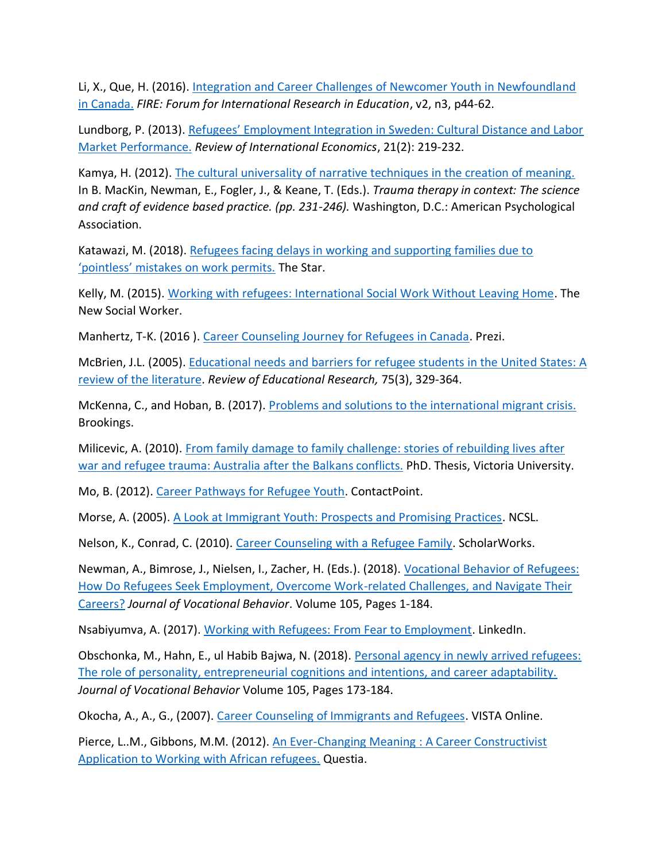Li, X., Que, H. (2016). [Integration and Career Challenges of Newcomer Youth in Newfoundland](https://www.researchgate.net/publication/303292174_Integration_and_Career_Challenges_of_Newcomer_Youth_in_Newfoundland_in_Canada)  [in Canada.](https://www.researchgate.net/publication/303292174_Integration_and_Career_Challenges_of_Newcomer_Youth_in_Newfoundland_in_Canada) *FIRE: Forum for International Research in Education*, v2, n3, p44-62.

Lundborg, P. (2013). [Refugees' Employment Integration in Sweden: Cultural Distance and Labor](https://onlinelibrary.wiley.com/doi/abs/10.1111/roie.12032)  [Market Performance.](https://onlinelibrary.wiley.com/doi/abs/10.1111/roie.12032) *Review of International Economics*, 21(2): 219-232.

Kamya, H. (2012). [The cultural universality of narrative techniques in the creation of meaning.](http://restoredchristianity.blogspot.ca/2015/09/brief-narrative-trauma-treatment-with.html) In B. MacKin, Newman, E., Fogler, J., & Keane, T. (Eds.). *Trauma therapy in context: The science and craft of evidence based practice. (pp. 231-246).* Washington, D.C.: American Psychological Association.

Katawazi, M. (2018). [Refugees facing delays in working and supporting families due to](https://www.thestar.com/news/gta/2018/01/27/refugees-facing-delays-in-working-and-supporting-families-due-to-pointless-mistakes-on-work-permits.html)  ['pointless' mistakes on work permits.](https://www.thestar.com/news/gta/2018/01/27/refugees-facing-delays-in-working-and-supporting-families-due-to-pointless-mistakes-on-work-permits.html) The Star.

Kelly, M. (2015). [Working with refugees: International Social Work Without Leaving Home.](http://www.socialworker.com/feature-articles/practice/working-with-refugees-international-social-work/) The New Social Worker.

Manhertz, T-K. (2016 ). [Career Counseling Journey for Refugees in Canada.](https://prezi.com/jwhg43azflll/career-counselling-journey-for-refugees-in-canada/) Prezi.

McBrien, J.L. (2005). [Educational needs and barriers for refugee students in the United States: A](http://journals.sagepub.com/doi/abs/10.3102/00346543075003329)  [review of the literature.](http://journals.sagepub.com/doi/abs/10.3102/00346543075003329) *Review of Educational Research,* 75(3), 329-364.

McKenna, C., and Hoban, B. (2017). [Problems and solutions to the international migrant crisis.](https://www.brookings.edu/blog/brookings-now/2017/12/18/problems-and-solutions-to-the-international-migrant-crisis/) Brookings.

Milicevic, A. (2010). [From family damage to family challenge: stories of rebuilding lives after](http://www.academia.edu/25862848/From_family_damage_to_family_challenge_stories_of_rebuilding_lives_after_war_and_refugee_trauma_Australia_after_the_Balkans_conflicts)  [war and refugee trauma: Australia after the Balkans conflicts.](http://www.academia.edu/25862848/From_family_damage_to_family_challenge_stories_of_rebuilding_lives_after_war_and_refugee_trauma_Australia_after_the_Balkans_conflicts) PhD. Thesis, Victoria University.

Mo, B. (2012). [Career Pathways for Refugee Youth.](http://contactpoint.ca/2012/10/career-pathways-for-refugee-youth/) ContactPoint.

Morse, A. (2005). [A Look at Immigrant Youth: Prospects and Promising Practices.](http://www.ncsl.org/research/immigration/a-look-at-immigrant-youth-prospects-and-promisin.aspx) NCSL.

Nelson, K., Conrad, C. (2010). [Career Counseling with a Refugee Family.](https://scholarworks.boisestate.edu/slp/11/) ScholarWorks.

Newman, A., Bimrose, J., Nielsen, I., Zacher, H. (Eds.). (2018). [Vocational Behavior of Refugees:](https://www.sciencedirect.com/journal/journal-of-vocational-behavior/vol/105/suppl/C)  [How Do Refugees Seek Employment, Overcome Work-related Challenges, and Navigate Their](https://www.sciencedirect.com/journal/journal-of-vocational-behavior/vol/105/suppl/C)  [Careers?](https://www.sciencedirect.com/journal/journal-of-vocational-behavior/vol/105/suppl/C) *Journal of Vocational Behavior*. Volume 105, Pages 1-184.

Nsabiyumva, A. (2017). [Working with Refugees: From Fear to Employment.](https://www.linkedin.com/pulse/working-refugees-from-fear-employment-albert-nsabiyumva/) LinkedIn.

Obschonka, M., Hahn, E., ul Habib Bajwa, N. (2018). [Personal agency in newly arrived refugees:](https://www.sciencedirect.com/science/article/abs/pii/S0001879118300034)  [The role of personality, entrepreneurial cognitions and intentions, and career adaptability.](https://www.sciencedirect.com/science/article/abs/pii/S0001879118300034) *Journal of Vocational Behavior* Volume 105, Pages 173-184.

Okocha, A., A., G., (2007). [Career Counseling of Immigrants and Refugees.](https://www.counseling.org/docs/default-source/vistas/career-counseling-of-immigrants-and-refugees.pdf?sfvrsn=12) VISTA Online.

Pierce, L..M., Gibbons, M.M. (2012). [An Ever-Changing Meaning](https://onlinelibrary.wiley.com/doi/full/10.1002/j.2161-1939.2012.00009.x) : A Career Constructivist [Application to Working with African refugees.](https://onlinelibrary.wiley.com/doi/full/10.1002/j.2161-1939.2012.00009.x) Questia.